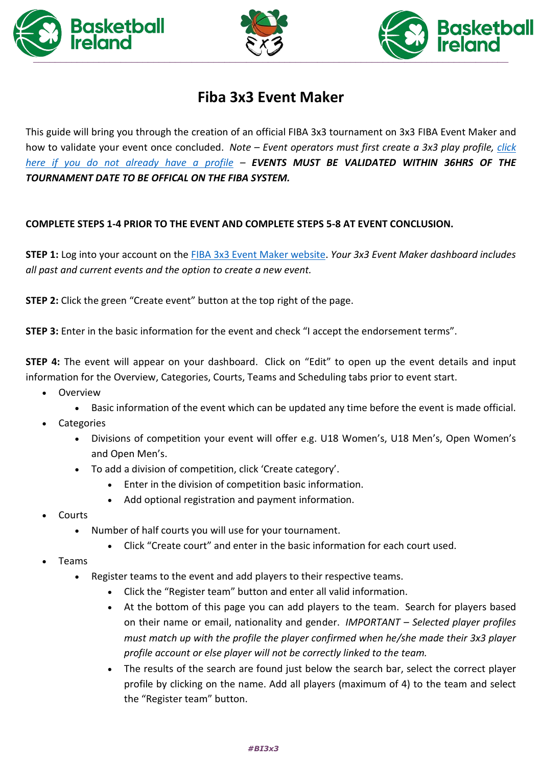





## **Fiba 3x3 Event Maker**

This guide will bring you through the creation of an official FIBA 3x3 tournament on 3x3 FIBA Event Maker and how to validate your event once concluded. *Note – Event operators must first create a 3x3 play profile, [click](https://play.fiba3x3.com/)  [here if you do not already have a profile](https://play.fiba3x3.com/) – EVENTS MUST BE VALIDATED WITHIN 36HRS OF THE TOURNAMENT DATE TO BE OFFICAL ON THE FIBA SYSTEM.*

## **COMPLETE STEPS 1-4 PRIOR TO THE EVENT AND COMPLETE STEPS 5-8 AT EVENT CONCLUSION.**

**STEP 1:** Log into your account on the FIBA 3x3 Event [Maker website.](https://em.fiba3x3.com/User/User/Login) *Your 3x3 Event Maker dashboard includes all past and current events and the option to create a new event.* 

**STEP 2:** Click the green "Create event" button at the top right of the page.

**STEP 3:** Enter in the basic information for the event and check "I accept the endorsement terms".

**STEP 4:** The event will appear on your dashboard. Click on "Edit" to open up the event details and input information for the Overview, Categories, Courts, Teams and Scheduling tabs prior to event start.

- Overview
	- Basic information of the event which can be updated any time before the event is made official.
- **Categories** 
	- Divisions of competition your event will offer e.g. U18 Women's, U18 Men's, Open Women's and Open Men's.
	- To add a division of competition, click 'Create category'.
		- Enter in the division of competition basic information.
		- Add optional registration and payment information.
- Courts
	- Number of half courts you will use for your tournament.
		- Click "Create court" and enter in the basic information for each court used.
- Teams
	- Register teams to the event and add players to their respective teams.
		- Click the "Register team" button and enter all valid information.
		- At the bottom of this page you can add players to the team. Search for players based on their name or email, nationality and gender. *IMPORTANT – Selected player profiles must match up with the profile the player confirmed when he/she made their 3x3 player profile account or else player will not be correctly linked to the team.*
		- The results of the search are found just below the search bar, select the correct player profile by clicking on the name. Add all players (maximum of 4) to the team and select the "Register team" button.